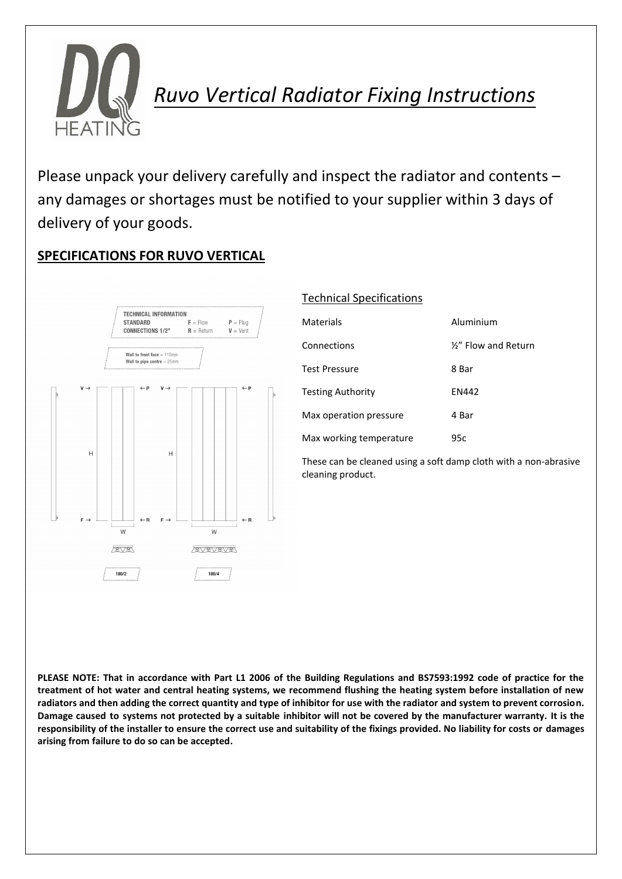

*Ruvo Vertical Radiator Fixing Instructions*

Please unpack your delivery carefully and inspect the radiator and contents – any damages or shortages must be notified to your supplier within 3 days of delivery of your goods.

## **SPECIFICATIONS FOR RUVO VERTICAL**



## Technical Specifications

| Materials                | Aluminium            |
|--------------------------|----------------------|
| Connections              | 1/2" Flow and Return |
| <b>Test Pressure</b>     | 8 Bar                |
| <b>Testing Authority</b> | EN442                |
| Max operation pressure   | 4 Bar                |
| Max working temperature  | 95c                  |

These can be cleaned using a soft damp cloth with a non-abrasive cleaning product.

PLEASE NOTE: That in accordance with Part L1 2006 of the Building Regulations and BS7593:1992 code of practice for the treatment of hot water and central heating systems, we recommend flushing the heating system before installation of new **radiators and then adding the correct quantity and type of inhibitor for use with the radiator and system to prevent corrosion. Damage caused to systems not protected by a suitable inhibitor will not be covered by the manufacturer warranty. It is the responsibility of the installer to ensure the correct use and suitability of the fixings provided. No liability for costs or damages arising from failure to do so can be accepted.**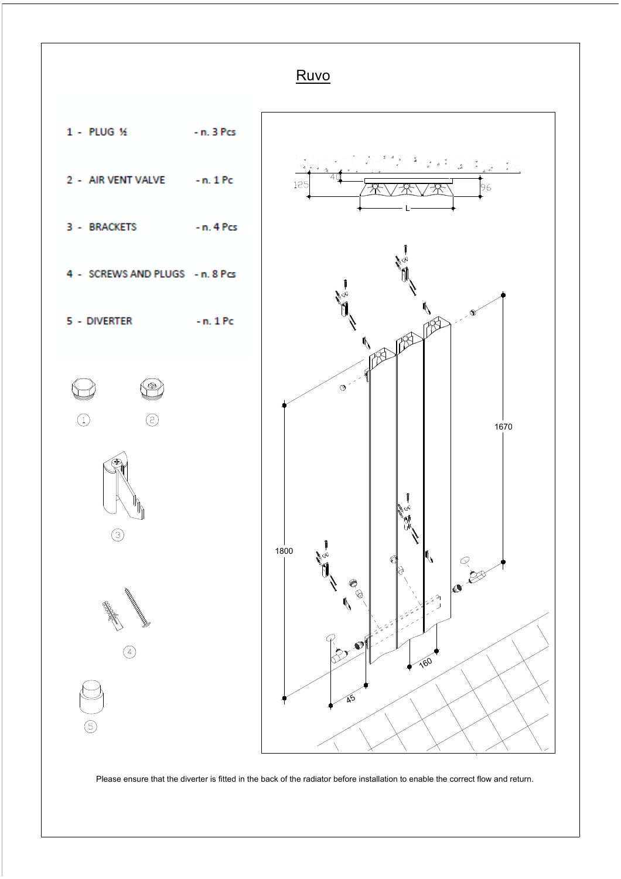

Please ensure that the diverter is fitted in the back of the radiator before installation to enable the correct flow and return.